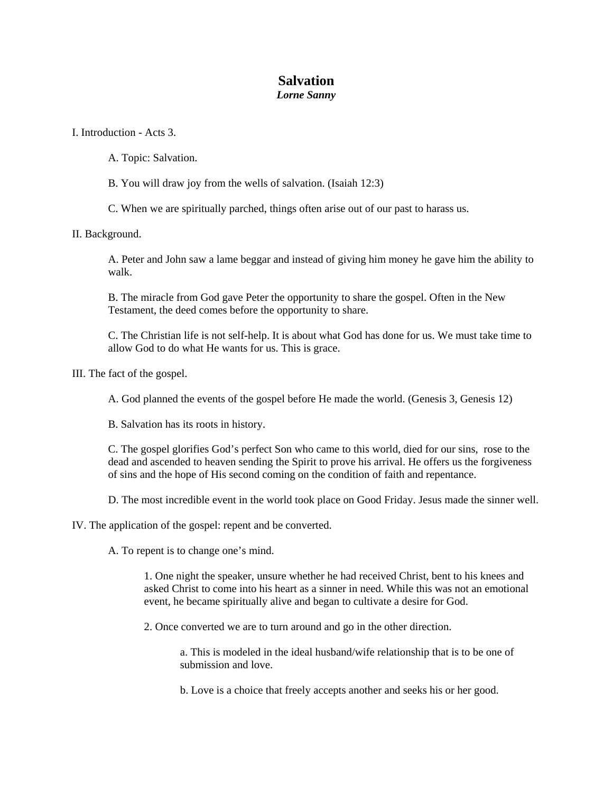# **Salvation**

## *Lorne Sanny*

I. Introduction - Acts 3.

- A. Topic: Salvation.
- B. You will draw joy from the wells of salvation. (Isaiah 12:3)

C. When we are spiritually parched, things often arise out of our past to harass us.

### II. Background.

A. Peter and John saw a lame beggar and instead of giving him money he gave him the ability to walk.

B. The miracle from God gave Peter the opportunity to share the gospel. Often in the New Testament, the deed comes before the opportunity to share.

C. The Christian life is not self-help. It is about what God has done for us. We must take time to allow God to do what He wants for us. This is grace.

III. The fact of the gospel.

A. God planned the events of the gospel before He made the world. (Genesis 3, Genesis 12)

B. Salvation has its roots in history.

C. The gospel glorifies God's perfect Son who came to this world, died for our sins, rose to the dead and ascended to heaven sending the Spirit to prove his arrival. He offers us the forgiveness of sins and the hope of His second coming on the condition of faith and repentance.

D. The most incredible event in the world took place on Good Friday. Jesus made the sinner well.

IV. The application of the gospel: repent and be converted.

A. To repent is to change one's mind.

1. One night the speaker, unsure whether he had received Christ, bent to his knees and asked Christ to come into his heart as a sinner in need. While this was not an emotional event, he became spiritually alive and began to cultivate a desire for God.

2. Once converted we are to turn around and go in the other direction.

a. This is modeled in the ideal husband/wife relationship that is to be one of submission and love.

b. Love is a choice that freely accepts another and seeks his or her good.